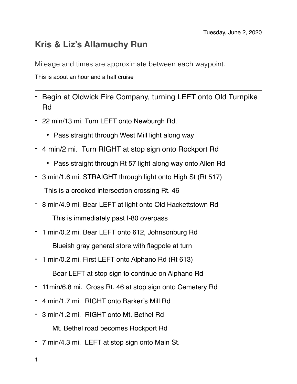## **Kris & Liz's Allamuchy Run**

Mileage and times are approximate between each waypoint.

This is about an hour and a half cruise

- Begin at Oldwick Fire Company, turning LEFT onto Old Turnpike Rd
- 22 min/13 mi. Turn LEFT onto Newburgh Rd.
	- Pass straight through West Mill light along way
- 4 min/2 mi. Turn RIGHT at stop sign onto Rockport Rd
	- Pass straight through Rt 57 light along way onto Allen Rd
- 3 min/1.6 mi. STRAIGHT through light onto High St (Rt 517)

This is a crooked intersection crossing Rt. 46

- 8 min/4.9 mi. Bear LEFT at light onto Old Hackettstown Rd

This is immediately past I-80 overpass

- 1 min/0.2 mi. Bear LEFT onto 612, Johnsonburg Rd

Blueish gray general store with flagpole at turn

- 1 min/0.2 mi. First LEFT onto Alphano Rd (Rt 613)

Bear LEFT at stop sign to continue on Alphano Rd

- 11min/6.8 mi. Cross Rt. 46 at stop sign onto Cemetery Rd
- 4 min/1.7 mi. RIGHT onto Barker's Mill Rd
- 3 min/1.2 mi. RIGHT onto Mt. Bethel Rd

Mt. Bethel road becomes Rockport Rd

- 7 min/4.3 mi. LEFT at stop sign onto Main St.